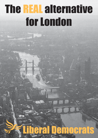# The REAL alternative for London

# Liberal Democrats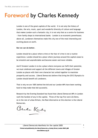# Foreword by Charles Kennedy

London is one of the great capitals of the world. It is not only the history of London, the arts, music, sport and wonderful diversity of culture and language that makes London such a fantastic city; it is not only that as a centre for business - from family shops to international banks – London is an economic powerhouse; above all, Londoners themselves make this city one of the most interesting and exciting places on earth.

**But we can do better.** 

London should be a place where crime or the fear of crime is not a routine experience. London should be a place where journeys around the capital cease to be stressful and unpredictable and become easier and more reliable.

And if Greater London is to be a place where everyone can fulfil their potential, we must celebrate and support all the different towns and villages of Greater London as places with their own character but united together to maximise prosperity and success. Liberal Democrats believe that bring the 2012 Olympics to London should benefit all Londoners.

That is why we are 100% behind the bid and our London MPs have been working hard to help make that bid successful.

Research by the Evening Standard has found that Liberal Democrat MPs in London work the hardest of any in the capital. Three of the top five were Lib Dems. As in the rest of urban Britain, the Real Alternative at this election is the Liberal Democrats.

Benker Kendy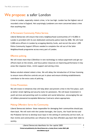# We propose: a safer London

Crime in London, especially violent crime, is far too high. London has the highest rate of recorded crime in England. Not surprisingly Londoners are more concerned about crime than anything else.

# A Permanent Community Police Service.

Liberal Democrats will ensure that every neighbourhood (communities of 5-10,000) in London is provided with its own dedicated community police team by 2006. We will fund 2,000 extra officers in London by scrapping Identity Cards, and recruit the extra 1,095 Police Community Support Officers needed to complete the roll out of the Safer Neighbourhoods programme across every part of London.

# Effective policing.

We will invest more than £30million in new technology to reduce paperwork and get our officers back on the streets, and focus police resources on improving performance in key areas like response times, victim support and solving crime.

Reduce alcohol-related violent crime. We will delay the introduction of 24 hour licensing to ensure more effective controls are put in place and ensure drinking establishments contribute to the extra costs of policing.

# Crime Prevention.

We will invest in initiatives that will help deter and prevent crime in the first place, such as better street lighting and security locks for pensioners. We will boost investment in youth services and parenting work to combat anti-social behaviour, encouraging the use of LibDem-pioneered Acceptable Behaviour Contracts where appropriate.

# Making Offenders Serve the Community.

Liberal Democrats believe those responsible for damaging their communities should pay them back. We will work with the London boroughs, the Courts, the Youth Service and the Probation Service to develop local input in the setting of community service work, so that victims and communities can influence the way that offenders pay back their debt to society.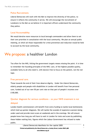# Police Recruitment.

Liberal Democrats will work with the Met to improve the diversity of the police, to ensure it reflects the community it serves. We will encourage the recruitment of Londoners to the Met as we believe it is important officers understand the community they police.

# Local Accountability.

We would devolve more resources to local borough commanders and allow them to set their own priorities in consultation with the local community. We plan an annual public meeting, at which all those responsible for crime prevention and reduction would be held to account by the local community.

# We propose: a healthier London

Too often for the NHS, hitting the government targets means missing the point. It is time to remember the founding principles of the NHS: care, of the highest possible quality, available fairly to all who need it, with doctors free to focus on the patient, not the red tape.

# Free personal care.

Those towards the end of their lives deserve dignity. Under the Liberal Democrats, elderly people and people with disabilities in London will benefit from free personal care, funded out of our new 50 per cent rate on that part of people's incomes over £100,000.

# Quicker diagnosis for serious conditions – so your NHS treatment is not

### delayed.

London health commissioners will benefit from extra funding to tackle local bottlenecks which hold up quicker diagnosis. We will tackle the scandal of expensive scanners being under-used and provide more scans at weekends and in the evenings. We will ensure people know how long you will have to wait in London for tests and scans by publishing these hidden waiting lists, figures which the Labour Government has refused to make public.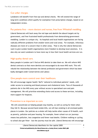# Cut unfair charges.

Londoners will benefit from free eye and dental checks. We will extend the range of long-term conditions which qualify for exemption from prescription charges, based on an independent review.

### Put patients first – more doctors and nurses, free from Whitehall meddling.

Liberal Democrats will hack away the red tape and abolish the absurd targets set by government, and free frustrated health professionals from demoralising government meddling. London is a unique city. Its hospitals and local health organisations are facing radically different problems from smaller towns and rural areas. For example, infectious diseases are more of a concern than in other areas. That is why the Liberal Democrats want to give London health organisations more freedom to develop local solutions. It is also why we want Londoners to have more say in how their local health services are run.

# High-quality dental care.

Many people in London can't find an NHS dentist to take them on. We will reform NHS dental contracts so that more dentists are encouraged to do more NHS work. This will rebuild the relationship between the dental profession and government which has been badly damaged under Conservatives and Labour.

# Give people more control over their healthcare.

We will encourage regular health 'MoTs' tailored to individual patients' needs, with wider access to screening and blood pressure and cholesterol tests. Tens of thousands of patients die in the NHS every year without access to specialised care and pain management. We will prioritise extending choice and access to these services, including more support for hospices.

# Prevention is as important as cure.

 We will concentrate on helping people stay healthy, as well as caring for them when they fall ill. Because second-hand smoke kills, we will ban smoking in all enclosed public places in London. Our policies as a whole will help tackle other causes of ill-health, such as poverty, pollution and poor housing. For example, fewer school-run car journeys means less pollution, less congestion and fewer road deaths. Children walking or cycling to school also get fitter – but the journey must be safe. Liberal Democrats will encourage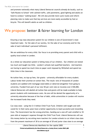and promote nationally what many Liberal Democrat councils already do locally, such as 'Safe Routes to School' with calmed traffic, safe pavements, good lighting and adults on hand to conduct 'walking buses'. We will also provide more cycle routes and reform planning rules to make sure that key services are more easily accessible by foot or bicycle. This will benefit adults as well as children.

# We propose: better & fairer learning for London

Ensuring a top class education system for our children is one of Government's most important tasks – for the sake of our society, for the sake of our economy and for the sake of each individual's personal fulfilment.

We are ambitious for every child. Our focus is on providing every parent and child with a quality local school in London.

As a whole our education system is failing many of our children. Our children are tested too much and taught too little. London's schools lack qualified teachers. And teachers are having to spend too much time on paper work imposed by Whitehall and spend too little time in the classroom.

No tuition fees, no top-up fees, fair grants - university affordable for every student. Labour broke their promise on tuition fees. The result: tens of thousands of London students are saddled with mortgage-sized debts or deterred altogether from going to university. Funded from part of our new 50 per cent rate on incomes over £100,000, Liberal Democrats will abolish all tuition fees and grants will be made available to help poorer students with maintenance costs. No one will be denied the opportunity of a university education because of the fear of debt, while universities in London will receive the increased funds they need.

Cut class sizes - using the £1.5 billion Child Trust Fund. Children well taught and wellcared-for in their early years have a better opportunity to lead successful and rewarding lives. The Government has the wrong priorities, handing out a one-off cash windfall to 18 year-olds at taxpayers' expense through the Child Trust Fund. Liberal Democrats will use this money better by recruiting more teachers for London schools to cut infant class sizes from the present maximum of 30 to an average of 20 and junior class sizes to an average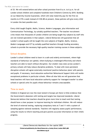of 25. We will extend before and after school provision from 8 a.m. to 6 p.m. for all London school children and complete hundreds more Children's Centres by 2010. Building on our Maternity Income Guarantee, which will raise maternity pay for the first six months to £170 a week instead of £102.80 at present, these policies will give every child in London the best possible start.

Every child taught English, Maths, Science, Modern Languages, plus Information and Communication Technology, by suitably qualified teachers. The teacher recruitment crisis means that thousands of London children are being taught key subjects by staff who are not trained specialists in that subject. Liberal Democrats will guarantee that all London's school pupils will be taught the core subjects of English, Maths, Science, Modern Languages and ICT by suitably qualified teachers through funding secondary schools to provide the necessary high-quality teacher-training courses in these subjects.

# School discipline.

London's school children need to learn in a safe and orderly environment, where high standards of behaviour are upheld, where bullying is challenged effectively and where teachers are able to teach without disruption. Our smaller class sizes across London's primary schools will help reduce discipline problems. To deal with more persistent disruption schools will agree externally-monitored 'positive behaviour plans' with parents and pupils. If necessary, local education authorities' Behavioural Support Units will tackle exceptional problems in particular schools. When all else fails we will guarantee that head teachers will have local education authority support for 'managed transfer' to other schools or special units for pupils whose behaviour remains unacceptable.

# Time to teach.

Children in England are now the most tested in Europe yet there is little evidence that the Government's obsession with testing and targets has improved standards. Liberal Democrats believe that teachers should be given more time to teach and that testing should have a clear purpose: to improve learning for individual children. We will reduce the level of external testing, replacing compulsory tests at 7 and 11 with a system of sampling against national standards. Teachers will regularly assess pupils' performance, using the results to inform teaching and give parents accurate information on their child's progress.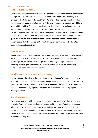# Special educational needs.

Children with Special Educational Needs in London should be schooled in an environment appropriate to their needs - usually in local schools with appropriate support, or in specialist schools for those who need them. Parents' wishes must be considered when making decisions about type of schooling. A designated teacher in each school will have responsibility to identify and plan for children with special needs, and act as a contact point for parents and other teachers. We will ensure that all teachers and teaching assistants working with children with special educational needs are appropriately trained. London's special schools will act as resource centres to support local schools with their specialist provision. In turn special schools will be linked to research departments in universities so that they can benefit directly from, and be involved with, the latest research in special education.

### Skills for work.

School-leavers should be equipped with the skills they need to succeed in the workplace. We will combine GCSE, A-Level and vocational programmes of study within a new diploma system, stretching the most gifted and engaging those previously turned off by schooling. We will give all students in London over the age of 14 the opportunity to combine vocational and academic learning.

# World-class skills for a world-class economy.

We are committed to closing the funding gap between London's schools and colleges, starting by providing equal funding for equivalent courses, wherever they are taught. To deliver world-class skills world-class facilities are needed. We will implement plans to invest in the modern, high-quality college facilities needed to deliver high-quality skills training in London.

# School transport.

We will maintain the right of children to free school transport when they live more than two miles from their designated primary school and three miles from their secondary school. This right is being taken away by the Labour Government. For those who live nearer school, there still need to be safe alternatives to the car; we will promote 'Safe Routes to School', with calmed traffic, safe pavements, good lighting and adults on hand to conduct 'walking buses'.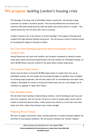# We propose: tackling London's housing crisis

The shortage of housing, and of affordable homes in particular, has become a huge constraint on London's economic growth. This has exacerbated the recruitment and retention difficulties being faced by both the public and private sectors in London. The Liberal Democrats will not allow this crisis to continue.

London's housing crisis is the product of severe shortage in the supply of housing stock, coupled with high demand fuelling rising prices. We will pursue a series of policies aimed at increasing the supply of housing in London:

# Fast Track Home Building programmes above and alongside retail and transport sites.

Liberal Democrats will work with retailers and transport companies to identify unused urban space above and around supermarkets and train stations for affordable housing. An extra 40,000 homes could be created in the space above London shops alone.

# The Scandal of Empty Homes.

Action must be taken to bring the 90,000 empty homes in London back into use as affordable housing. We will enable and encourage boroughs to establish clear strategies for tackling empty properties. We will also reduce VAT on refurbishment and repair work, making it affordable for owners to bring unfit homes back into use, and cheaper for all Londoners to upgrade or repair their homes.

# New affordable homes.

We will divert more funding to Shared Equity schemes, where homebuyers part-buy and part-rent a property. We will use the 130 acres or more of surplus public sector land in London to build new Mutual Homes, where tenants buy shares in a trust that owns their home over time, rather than having to buy a home outright.

# Protecting Private Tenants.

We want to support and protect those renting properties in London and guard against the activities of unscrupulous landlords. We will quickly introduce the Tenants' Deposit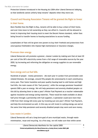Protection Scheme introduced in the Housing Act 2004 after Liberal Democrat lobbying, so that landlords cannot unfairly keep tenants' deposits when they move out.

# Council and Housing Association Tenants will be granted the Right to Invest in their home.

More flexible than the Right to Buy, tenants will be able to buy a share of their home, and over time move to full ownership as they can afford it. Councils will be allowed to invest in improving their housing stock to meet the Decent Homes standard, rather than being forced to transfer homes to housing associations to access funding.

Leaseholders of flats will be given new powers to buy their freehold and protections from unscrupulous freeholders who impose high maintenance or insurance charges.

### Promote clean energy.

Liberal Democrats will promote a greener, cleaner London by making sure that at least 20 per cent of the UK's electricity comes from a full range of renewable sources by the year 2020, by increasing and reforming the obligation on energy suppliers to use renewable energy.

# Save energy and cut fuel bills.

Hundreds of people – mostly pensioners – die each year in London from preventable coldrelated illnesses. On average, around fifty people die unnecessarily in each constituency every year. Poor home insulation and poor-quality housing lead to cold homes and high fuel bills, the main causes of this 'fuel poverty', while the average pensioner household spends £500 a year on energy. We will help pensioners and severely disabled people cut this bill by allowing them to take a year's Winter Fuel Payment as a voucher redeemable against insulation and energy saving materials. These would be made available at about half price through a partnership with fuel suppliers. A pensioner could save more than £100 from their energy bill every year by investing just one year's Winter Fuel Payment, and help the environment as well. In this way we will invest in cutting energy use and at the same time help pensioners and severely disabled people stay warm and save money.

# Less waste in London.

Liberal Democrats will set a long-term goal of zero municipal waste, through waste minimisation, reuse and recycling. As a first step, we will make sure that within seven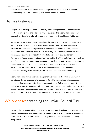years 60 per cent of all household waste is recycled and we will aim to offer every household regular kerbside recycling to every household in London.

# Thames Gateway

The project to develop the Thames Gateway offers an unprecedented opportunity to boost economic growth and urban renewal to the area. The Liberal Democrats fully support the attempts to take advantage of the huge quantities of brown-field sites.

But we have some serious reservations about the way in which the project is currently being managed. A multiplicity of agencies and organisations has developed in the Gateway, with overlapping responsibilities and uncertain remits, creating layers of unnecessary and potentially conflicting bureaucracy, while central government tries to micromanage the whole project from Whitehall. We believe that the London Development Agency should retain strategic control for the Thames Gateway area so that planning and progress can continue unhindered – particularly on those projects related to London's Olympic bid. Local people should also have more of a say on development projects, and we should place a priority on bringing existing homes and empty commercial buildings back into use, rather than assuming new build is necessary.

Liberal Democrats have a clear and comprehensive vision for the Thames Gateway. We want to see the development of green and sustainable communities, with adequate community infrastructure, affordable accommodation, sufficient public transport links and the provision of training and job opportunities that are relevant and required by local people. We want to see communities rather than just construction. Clear, accountable, leadership is crucial, as is the full engagement and participation of local communities.

# We propose: scrapping the unfair Council Tax

The UK is the most centralised country in the western world, and our local government is weaker than in almost any other developed country. Successive Conservative and Labour governments have promised to free up local government, but have ended up making things worse.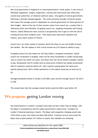Now local government in England is in central government's strait jacket. A vast array of Whitehall regulations, targets, inspections, controls and restrictions have effectively turned local authorities, of whatever political colour, into agents of central government, following a centrally imposed agenda. This works primarily through a financial system that means the average council is dependent on central government for three quarters of their budget. Much of the rest of their income comes from council tax, a system that is inherently unfair and inflexible. Scrapping council tax, stopping revaluation and freeing finance. Liberal Democrats want councils to be genuinely free to get on with the job of running services their residents want. That means they need more freedoms over finance, and a fairer system of finance.

Council tax is an unfair system of taxation which hits those on low and middle incomes the hardest. We will replace it with a local income tax (LIT) based on ability to pay.

Scrapping council tax also means we will stop Labour's proposed revaluation. Unless council tax revaluation is stopped, there will be many households in London facing large rises in council tax within two years, and those rises will not be linked to people's ability to pay. Revaluation will hit London hard as house price inflation has rapidly accelerated. Half of Londoners would be better off, with a quarter paying about the same and a quarter paying more. Half a million pensioners in the capital would pay no local tax at all.

Average household income in London is £27,000 a year and the average Council Tax bill is £1,078.

This would mean that the average London family would be £420 a year better off.

# We propose: getting London moving

Any improvements in London's transport have been by fault rather than by design, with the Mayor's incompetence and the Labour government's obstruction. Transport for London's financial planning is chaotic. The Mayor said congestion charging would raise £120 million a year; the reality has been £68 million. Customer service was so bad the Mayor had to hand another £31 million to Capita. Bus subsidies are rocketing.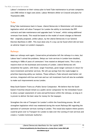Labour's insistence on their ruinous plan to hand Tube maintenance to private companies cost £900 million in legal costs alone. Labour Ministers dither on Crossrail and plans for Thameslink 2000.

# Tube

Bring Tube maintenance back in house. Liberal Democrats in Westminster will introduce legislation which will allow Transport for London the ability to terminate the PPP contracts and take maintenance and upgrades back "in house", whilst raising additional revenues from bonds. This would be based on the model of recent changes at Network Rail – originally proposed, unlike Labour, by the Liberal Democrats in our General Election Manifesto in 2001. This must done only if a way can be found which did not have an adverse impact on London's taxpayers.

# Railways

Make our railways work again. Conservative privatisation left the railways in a mess, but Labour hasn't solved the problems. Delays our train services in London have doubled, resulting in 1000s of years of commuters' lives wasted on delayed trains. This is also a massive drain on the businesses and economy of London. Liberal Democrats will streamline the system, with fewer, larger franchises, given longer contracts in return for more investment and better services. We will use savings from the roads budget to prioritise improving safety our stations. Those without a Tube network need better rail services, integrated with bus and tram and our rail investment fund will also be available to make such improvements across London.

Keep South Eastern Trains as a Public Sector Comparator. We believe that the South Eastern franchise should remain as a public sector comparator for the immediate future to allow a proper assessment of costs and performance within the railways, so long as it is proven to deliver the best value for money for the taxpayer.

Strengthen the role of Transport for London's within the franchising process. We will strengthen legislation which was weakened during the recent Railways Bill regarding the operation of commuter services running in London. This would also explore where powers could be given over to Transport for London to take over the running of train services and create a 'London Commuter Authority'.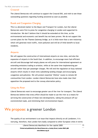### **Crossrail**

The Liberal Democrats will continue to support the Crossrail Bill, and wish to see those outstanding questions regarding funding answered as soon as possible.

# Roads and Congestion Charging

This is a devolved matter to the Mayor and Transport for London, but the Liberal Democrats were first to press for congestion charging in London and supported its introduction. We don't believe that it should be extended at this time, as the environmental and economic cost benefit has not been proven. We do not support the current plans for the Thames Gateway bridge, as it is little more than a new motorway which will generate more traffic, more pollution and will be of little benefit to local residents.

### Airports

We will oppose the construction of international airports on new sites, and also the expansion of airports in the South East. In addition, to encourage more fuel-efficient aircraft and discourage half-empty planes we will press for international agreement on extending emissions trading to aviation, while at the same time implementing peraircraft rather than per-passenger charges. We will end the regulation on busy national airports which results in retail rents subsidising landing charges and encouraging congestion and pollution. We will protect essential 'lifeline' routes to remote UK communities from London. London Liberal Democrats have also made clear their opposition the proposed end to the runway alternation policy.

# Using the River

Liberal Democrats want to encourage greater use of the river for transport. The Liberal Democrats believe that every effort should be made to use the river as a means for servicing the construction of these new developments, taking the pressure off our overstretched roads, and minimising their environmental impact.

# We propose: a greener London

The quality of our environment is an issue that impacts directly on all Londoners. It is worrying, therefore, that London fairs badly compared to other European cities in terms